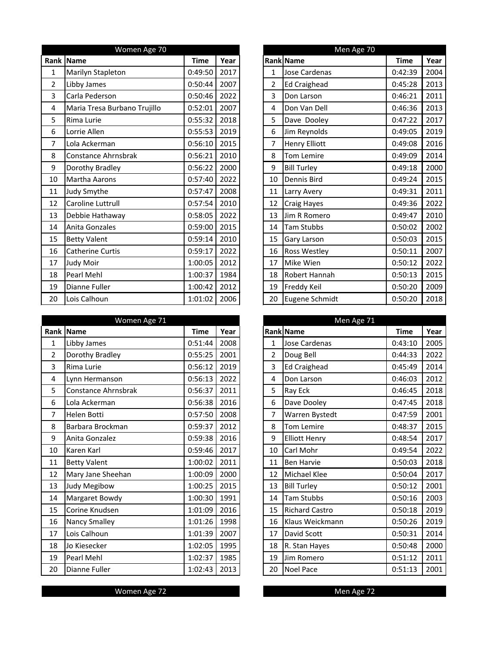|                  | Women Age 70                 |             |      |                | Men Age 70           |             |
|------------------|------------------------------|-------------|------|----------------|----------------------|-------------|
| Rank             | Name                         | <b>Time</b> | Year |                | Rank Name            | <b>Time</b> |
| 1                | Marilyn Stapleton            | 0:49:50     | 2017 | $\mathbf{1}$   | Jose Cardenas        | 0:42:39     |
| $\overline{2}$   | Libby James                  | 0:50:44     | 2007 | $\overline{2}$ | <b>Ed Craighead</b>  | 0:45:28     |
| 3                | Carla Pederson               | 0:50:46     | 2022 | 3              | Don Larson           | 0:46:21     |
| $\overline{4}$   | Maria Tresa Burbano Trujillo | 0:52:01     | 2007 | 4              | Don Van Dell         | 0:46:36     |
| 5                | Rima Lurie                   | 0:55:32     | 2018 | 5              | Dave Dooley          | 0:47:22     |
| 6                | Lorrie Allen                 | 0:55:53     | 2019 | 6              | Jim Reynolds         | 0:49:05     |
| 7                | Lola Ackerman                | 0:56:10     | 2015 | 7              | <b>Henry Elliott</b> | 0:49:08     |
| 8                | Constance Ahrnsbrak          | 0:56:21     | 2010 | 8              | Tom Lemire           | 0:49:09     |
| $\boldsymbol{9}$ | Dorothy Bradley              | 0:56:22     | 2000 | 9              | <b>Bill Turley</b>   | 0:49:18     |
| 10               | Martha Aarons                | 0:57:40     | 2022 | 10             | Dennis Bird          | 0:49:24     |
| 11               | Judy Smythe                  | 0:57:47     | 2008 | 11             | Larry Avery          | 0:49:31     |
| 12               | Caroline Luttrull            | 0:57:54     | 2010 | 12             | Craig Hayes          | 0:49:36     |
| 13               | Debbie Hathaway              | 0:58:05     | 2022 | 13             | Jim R Romero         | 0:49:47     |
| 14               | Anita Gonzales               | 0:59:00     | 2015 | 14             | <b>Tam Stubbs</b>    | 0:50:02     |
| 15               | <b>Betty Valent</b>          | 0:59:14     | 2010 | 15             | <b>Gary Larson</b>   | 0:50:03     |
| 16               | <b>Catherine Curtis</b>      | 0:59:17     | 2022 | 16             | <b>Ross Westley</b>  | 0:50:11     |
| 17               | Judy Moir                    | 1:00:05     | 2012 | 17             | Mike Wien            | 0:50:12     |
| 18               | Pearl Mehl                   | 1:00:37     | 1984 | 18             | Robert Hannah        | 0:50:13     |
| 19               | Dianne Fuller                | 1:00:42     | 2012 | 19             | Freddy Keil          | 0:50:20     |
| 20               | Lois Calhoun                 | 1:01:02     | 2006 | 20             | Eugene Schmidt       | 0:50:20     |

|                | Women Age 71        |             |      |                | Men Age 71            |             |      |
|----------------|---------------------|-------------|------|----------------|-----------------------|-------------|------|
|                | Rank Name           | <b>Time</b> | Year |                | <b>Rank Name</b>      | <b>Time</b> | Year |
| $\mathbf{1}$   | Libby James         | 0:51:44     | 2008 | $\mathbf{1}$   | <b>Jose Cardenas</b>  | 0:43:10     | 2005 |
| $\overline{2}$ | Dorothy Bradley     | 0:55:25     | 2001 | $\overline{2}$ | Doug Bell             | 0:44:33     | 2022 |
| 3              | Rima Lurie          | 0:56:12     | 2019 | 3              | <b>Ed Craighead</b>   | 0:45:49     | 2014 |
| 4              | Lynn Hermanson      | 0:56:13     | 2022 | 4              | Don Larson            | 0:46:03     | 2012 |
| 5              | Constance Ahrnsbrak | 0:56:37     | 2011 | 5              | Ray Eck               | 0:46:45     | 2018 |
| 6              | Lola Ackerman       | 0:56:38     | 2016 | 6              | Dave Dooley           | 0:47:45     | 2018 |
| $\overline{7}$ | Helen Botti         | 0:57:50     | 2008 | 7              | Warren Bystedt        | 0:47:59     | 2001 |
| 8              | Barbara Brockman    | 0:59:37     | 2012 | 8              | Tom Lemire            | 0:48:37     | 2015 |
| 9              | Anita Gonzalez      | 0:59:38     | 2016 | 9              | <b>Elliott Henry</b>  | 0:48:54     | 2017 |
| 10             | Karen Karl          | 0:59:46     | 2017 | 10             | Carl Mohr             | 0:49:54     | 2022 |
| 11             | <b>Betty Valent</b> | 1:00:02     | 2011 | 11             | <b>Ben Harvie</b>     | 0:50:03     | 2018 |
| 12             | Mary Jane Sheehan   | 1:00:09     | 2000 | 12             | Michael Klee          | 0:50:04     | 2017 |
| 13             | Judy Megibow        | 1:00:25     | 2015 | 13             | <b>Bill Turley</b>    | 0:50:12     | 2001 |
| 14             | Margaret Bowdy      | 1:00:30     | 1991 | 14             | <b>Tam Stubbs</b>     | 0:50:16     | 2003 |
| 15             | Corine Knudsen      | 1:01:09     | 2016 | 15             | <b>Richard Castro</b> | 0:50:18     | 2019 |
| 16             | Nancy Smalley       | 1:01:26     | 1998 | 16             | Klaus Weickmann       | 0:50:26     | 2019 |
| 17             | Lois Calhoun        | 1:01:39     | 2007 | 17             | David Scott           | 0:50:31     | 2014 |
| 18             | Jo Kiesecker        | 1:02:05     | 1995 | 18             | R. Stan Hayes         | 0:50:48     | 2000 |
| 19             | Pearl Mehl          | 1:02:37     | 1985 | 19             | Jim Romero            | 0:51:12     | 2011 |
| 20             | Dianne Fuller       | 1:02:43     | 2013 | 20             | <b>Noel Pace</b>      | 0:51:13     | 2001 |

|                | Men Age 70            |             |      |  |  |  |  |  |  |  |
|----------------|-----------------------|-------------|------|--|--|--|--|--|--|--|
|                | <b>Rank Name</b>      | <b>Time</b> | Year |  |  |  |  |  |  |  |
| 1              | <b>Jose Cardenas</b>  | 0:42:39     | 2004 |  |  |  |  |  |  |  |
| $\overline{2}$ | <b>Ed Craighead</b>   | 0:45:28     | 2013 |  |  |  |  |  |  |  |
| 3              | Don Larson            | 0:46:21     | 2011 |  |  |  |  |  |  |  |
| 4              | Don Van Dell          | 0:46:36     | 2013 |  |  |  |  |  |  |  |
| 5              | Dave Dooley           | 0:47:22     | 2017 |  |  |  |  |  |  |  |
| 6              | Jim Reynolds          | 0:49:05     | 2019 |  |  |  |  |  |  |  |
| 7              | <b>Henry Elliott</b>  | 0:49:08     | 2016 |  |  |  |  |  |  |  |
| 8              | <b>Tom Lemire</b>     | 0:49:09     | 2014 |  |  |  |  |  |  |  |
| 9              | <b>Bill Turley</b>    | 0:49:18     | 2000 |  |  |  |  |  |  |  |
| 10             | Dennis Bird           | 0:49:24     | 2015 |  |  |  |  |  |  |  |
| 11             | Larry Avery           | 0:49:31     | 2011 |  |  |  |  |  |  |  |
| 12             | Craig Hayes           | 0:49:36     | 2022 |  |  |  |  |  |  |  |
| 13             | Jim R Romero          | 0:49:47     | 2010 |  |  |  |  |  |  |  |
| 14             | <b>Tam Stubbs</b>     | 0:50:02     | 2002 |  |  |  |  |  |  |  |
| 15             | Gary Larson           | 0:50:03     | 2015 |  |  |  |  |  |  |  |
| 16             | Ross Westley          | 0:50:11     | 2007 |  |  |  |  |  |  |  |
| 17             | Mike Wien             | 0:50:12     | 2022 |  |  |  |  |  |  |  |
| 18             | Robert Hannah         | 0:50:13     | 2015 |  |  |  |  |  |  |  |
| 19             | Freddy Keil           | 0:50:20     | 2009 |  |  |  |  |  |  |  |
| 20             | <b>Eugene Schmidt</b> | 0:50:20     | 2018 |  |  |  |  |  |  |  |

|                | Men Age 71            |         |      |
|----------------|-----------------------|---------|------|
|                | <b>Rank Name</b>      | Time    | Year |
| $\overline{1}$ | <b>Jose Cardenas</b>  | 0:43:10 | 2005 |
| $\overline{2}$ | Doug Bell             | 0:44:33 | 2022 |
| 3              | <b>Ed Craighead</b>   | 0:45:49 | 2014 |
| 4              | Don Larson            | 0:46:03 | 2012 |
| 5              | Ray Eck               | 0:46:45 | 2018 |
| 6              | Dave Dooley           | 0:47:45 | 2018 |
| 7              | Warren Bystedt        | 0:47:59 | 2001 |
| 8              | <b>Tom Lemire</b>     | 0:48:37 | 2015 |
| 9              | <b>Elliott Henry</b>  | 0:48:54 | 2017 |
| 10             | Carl Mohr             | 0:49:54 | 2022 |
| 11             | <b>Ben Harvie</b>     | 0:50:03 | 2018 |
| 12             | <b>Michael Klee</b>   | 0:50:04 | 2017 |
| 13             | <b>Bill Turley</b>    | 0:50:12 | 2001 |
| 14             | <b>Tam Stubbs</b>     | 0:50:16 | 2003 |
| 15             | <b>Richard Castro</b> | 0:50:18 | 2019 |
| 16             | Klaus Weickmann       | 0:50:26 | 2019 |
| 17             | David Scott           | 0:50:31 | 2014 |
| 18             | R. Stan Hayes         | 0:50:48 | 2000 |
| 19             | Jim Romero            | 0:51:12 | 2011 |
| 20             | <b>Noel Pace</b>      | 0:51:13 | 2001 |

## Women Age 72 Men Age 72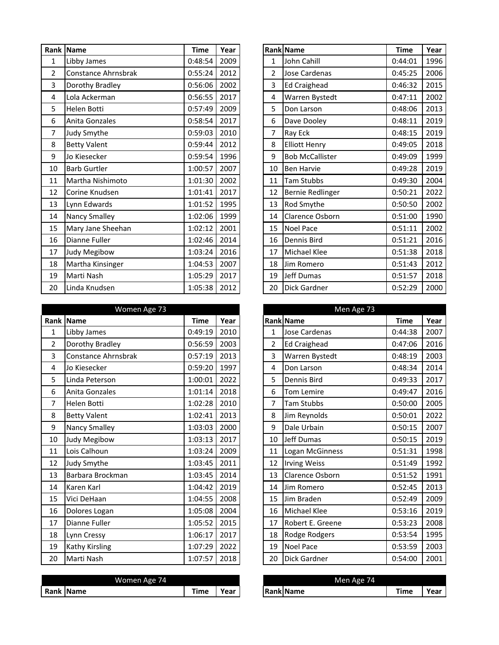|                | Rank Name            | <b>Time</b>    | Year |                | Rank Name               | <b>Time</b> | Year |
|----------------|----------------------|----------------|------|----------------|-------------------------|-------------|------|
| 1              | Libby James          | 0:48:54        | 2009 | 1              | John Cahill             | 0:44:01     | 1996 |
| $\overline{2}$ | Constance Ahrnsbrak  | 0:55:24        | 2012 | $\overline{2}$ | Jose Cardenas           | 0:45:25     | 2006 |
| 3              | Dorothy Bradley      | 0:56:06        | 2002 | 3              | <b>Ed Craighead</b>     | 0:46:32     | 2015 |
| 4              | Lola Ackerman        | 0:56:55        | 2017 | 4              | Warren Bystedt          | 0:47:11     | 2002 |
| 5              | Helen Botti          | 0:57:49        | 2009 | 5              | Don Larson              | 0:48:06     | 2013 |
| 6              | Anita Gonzales       | 0:58:54        | 2017 | 6              | Dave Dooley             | 0:48:11     | 2019 |
| 7              | Judy Smythe          | 0:59:03        | 2010 | 7              | Ray Eck                 | 0:48:15     | 2019 |
| 8              | <b>Betty Valent</b>  | 0:59:44        | 2012 | 8              | <b>Elliott Henry</b>    | 0:49:05     | 2018 |
| 9              | Jo Kiesecker         | 0:59:54        | 1996 | 9              | <b>Bob McCallister</b>  | 0:49:09     | 1999 |
| 10             | <b>Barb Gurtler</b>  | 1:00:57        | 2007 | 10             | <b>Ben Harvie</b>       | 0:49:28     | 2019 |
| 11             | Martha Nishimoto     | 1:01:30        | 2002 | 11             | Tam Stubbs              | 0:49:30     | 2004 |
| 12             | Corine Knudsen       | 1:01:41        | 2017 | 12             | <b>Bernie Redlinger</b> | 0:50:21     | 2022 |
| 13             | Lynn Edwards         | 1:01:52        | 1995 | 13             | Rod Smythe              | 0:50:50     | 2002 |
| 14             | <b>Nancy Smalley</b> | 1:02:06        | 1999 | 14             | Clarence Osborn         | 0:51:00     | 1990 |
| 15             | Mary Jane Sheehan    | 1:02:12        | 2001 | 15             | <b>Noel Pace</b>        | 0:51:11     | 2002 |
| 16             | Dianne Fuller        | 1:02:46        | 2014 | 16             | Dennis Bird             | 0:51:21     | 2016 |
| 17             | Judy Megibow         | 1:03:24        | 2016 | 17             | <b>Michael Klee</b>     | 0:51:38     | 2018 |
| 18             | Martha Kinsinger     | 1:04:53        | 2007 | 18             | Jim Romero              | 0:51:43     | 2012 |
| 19             | Marti Nash           | 1:05:29        | 2017 | 19             | Jeff Dumas              | 0:51:57     | 2018 |
| 20             | Linda Knudsen        | $1:05:38$ 2012 |      | 20             | Dick Gardner            | 0:52:29     | 2000 |

|                | Women Age 73         |             |      |                | Men Age 73            |             |      |
|----------------|----------------------|-------------|------|----------------|-----------------------|-------------|------|
|                | Rank Name            | <b>Time</b> | Year |                | Rank Name             | <b>Time</b> | Year |
| 1              | Libby James          | 0:49:19     | 2010 | 1              | Jose Cardenas         | 0:44:38     | 2007 |
| $\overline{2}$ | Dorothy Bradley      | 0:56:59     | 2003 | $\overline{2}$ | Ed Craighead          | 0:47:06     | 2016 |
| 3              | Constance Ahrnsbrak  | 0:57:19     | 2013 | 3              | <b>Warren Bystedt</b> | 0:48:19     | 2003 |
| 4              | Jo Kiesecker         | 0:59:20     | 1997 | $\overline{4}$ | Don Larson            | 0:48:34     | 2014 |
| 5              | Linda Peterson       | 1:00:01     | 2022 | 5              | <b>Dennis Bird</b>    | 0:49:33     | 2017 |
| 6              | Anita Gonzales       | 1:01:14     | 2018 | 6              | <b>Tom Lemire</b>     | 0:49:47     | 2016 |
| $\overline{7}$ | Helen Botti          | 1:02:28     | 2010 | 7              | Tam Stubbs            | 0:50:00     | 2005 |
| 8              | <b>Betty Valent</b>  | 1:02:41     | 2013 | 8              | Jim Reynolds          | 0:50:01     | 2022 |
| 9              | <b>Nancy Smalley</b> | 1:03:03     | 2000 | 9              | Dale Urbain           | 0:50:15     | 2007 |
| 10             | Judy Megibow         | 1:03:13     | 2017 | 10             | Jeff Dumas            | 0:50:15     | 2019 |
| 11             | Lois Calhoun         | 1:03:24     | 2009 | 11             | Logan McGinness       | 0:51:31     | 1998 |
| 12             | Judy Smythe          | 1:03:45     | 2011 | 12             | <b>Irving Weiss</b>   | 0:51:49     | 1992 |
| 13             | Barbara Brockman     | 1:03:45     | 2014 | 13             | Clarence Osborn       | 0:51:52     | 1991 |
| 14             | Karen Karl           | 1:04:42     | 2019 | 14             | Jim Romero            | 0:52:45     | 2013 |
| 15             | Vici DeHaan          | 1:04:55     | 2008 | 15             | Jim Braden            | 0:52:49     | 2009 |
| 16             | Dolores Logan        | 1:05:08     | 2004 | 16             | Michael Klee          | 0:53:16     | 2019 |
| 17             | Dianne Fuller        | 1:05:52     | 2015 | 17             | Robert E. Greene      | 0:53:23     | 2008 |
| 18             | Lynn Cressy          | 1:06:17     | 2017 | 18             | Rodge Rodgers         | 0:53:54     | 1995 |
| 19             | Kathy Kirsling       | 1:07:29     | 2022 | 19             | <b>Noel Pace</b>      | 0:53:59     | 2003 |
| 20             | Marti Nash           | 1:07:57     | 2018 | 20             | <b>Dick Gardner</b>   | 0:54:00     | 2001 |

|           | Women A<br>74<br>Age A |                                                                  |      |                      | - 7<br>Men<br>Age<br>75 - |      |     |
|-----------|------------------------|------------------------------------------------------------------|------|----------------------|---------------------------|------|-----|
| Ran<br>nk | 'Name                  | $-1$<br>, ime<br>the contract of the contract of the contract of | Year | Rank<br><b>IName</b> |                           | Гіmе | ear |
|           |                        |                                                                  |      |                      |                           |      |     |

| ank            | Name                 | <b>Time</b> | Year |                | Rank Name              | <b>Time</b> | Year |
|----------------|----------------------|-------------|------|----------------|------------------------|-------------|------|
| $\mathbf{1}$   | Libby James          | 0:48:54     | 2009 | 1              | John Cahill            | 0:44:01     | 1996 |
| $\overline{2}$ | Constance Ahrnsbrak  | 0:55:24     | 2012 | $\overline{2}$ | Jose Cardenas          | 0:45:25     | 2006 |
| 3              | Dorothy Bradley      | 0:56:06     | 2002 | 3              | <b>Ed Craighead</b>    | 0:46:32     | 2015 |
| 4              | Lola Ackerman        | 0:56:55     | 2017 | 4              | Warren Bystedt         | 0:47:11     | 2002 |
| 5              | Helen Botti          | 0:57:49     | 2009 | 5              | Don Larson             | 0:48:06     | 2013 |
| 6              | Anita Gonzales       | 0:58:54     | 2017 | 6              | Dave Dooley            | 0:48:11     | 2019 |
| 7              | Judy Smythe          | 0:59:03     | 2010 | 7              | Ray Eck                | 0:48:15     | 2019 |
| 8              | <b>Betty Valent</b>  | 0:59:44     | 2012 | 8              | <b>Elliott Henry</b>   | 0:49:05     | 2018 |
| 9              | Jo Kiesecker         | 0:59:54     | 1996 | 9              | <b>Bob McCallister</b> | 0:49:09     | 1999 |
| 10             | <b>Barb Gurtler</b>  | 1:00:57     | 2007 | 10             | <b>Ben Harvie</b>      | 0:49:28     | 2019 |
| 11             | Martha Nishimoto     | 1:01:30     | 2002 | 11             | <b>Tam Stubbs</b>      | 0:49:30     | 2004 |
| 12             | Corine Knudsen       | 1:01:41     | 2017 | 12             | Bernie Redlinger       | 0:50:21     | 2022 |
| 13             | Lynn Edwards         | 1:01:52     | 1995 | 13             | Rod Smythe             | 0:50:50     | 2002 |
| 14             | <b>Nancy Smalley</b> | 1:02:06     | 1999 | 14             | Clarence Osborn        | 0:51:00     | 1990 |
| 15             | Mary Jane Sheehan    | 1:02:12     | 2001 | 15             | Noel Pace              | 0:51:11     | 2002 |
| 16             | Dianne Fuller        | 1:02:46     | 2014 | 16             | <b>Dennis Bird</b>     | 0:51:21     | 2016 |
| 17             | Judy Megibow         | 1:03:24     | 2016 | 17             | <b>Michael Klee</b>    | 0:51:38     | 2018 |
| 18             | Martha Kinsinger     | 1:04:53     | 2007 | 18             | Jim Romero             | 0:51:43     | 2012 |
| 19             | Marti Nash           | 1:05:29     | 2017 | 19             | Jeff Dumas             | 0:51:57     | 2018 |
| 20             | Linda Knudsen        | 1:05:38     | 2012 | 20             | <b>Dick Gardner</b>    | 0:52:29     | 2000 |

|                | Men Age 73             |             |      |
|----------------|------------------------|-------------|------|
|                | <b>Rank Name</b>       | <b>Time</b> | Year |
| $\mathbf 1$    | <b>Jose Cardenas</b>   | 0:44:38     | 2007 |
| $\overline{2}$ | <b>Ed Craighead</b>    | 0:47:06     | 2016 |
| 3              | Warren Bystedt         | 0:48:19     | 2003 |
| 4              | Don Larson             | 0:48:34     | 2014 |
| 5              | Dennis Bird            | 0:49:33     | 2017 |
| 6              | <b>Tom Lemire</b>      | 0:49:47     | 2016 |
| 7              | Tam Stubbs             | 0:50:00     | 2005 |
| 8              | Jim Reynolds           | 0:50:01     | 2022 |
| 9              | Dale Urbain            | 0:50:15     | 2007 |
| 10             | Jeff Dumas             | 0:50:15     | 2019 |
| 11             | Logan McGinness        | 0:51:31     | 1998 |
| 12             | <b>Irving Weiss</b>    | 0:51:49     | 1992 |
| 13             | <b>Clarence Osborn</b> | 0:51:52     | 1991 |
| 14             | Jim Romero             | 0:52:45     | 2013 |
| 15             | Jim Braden             | 0:52:49     | 2009 |
| 16             | <b>Michael Klee</b>    | 0:53:16     | 2019 |
| 17             | Robert E. Greene       | 0:53:23     | 2008 |
| 18             | Rodge Rodgers          | 0:53:54     | 1995 |
| 19             | <b>Noel Pace</b>       | 0:53:59     | 2003 |
| 20             | Dick Gardner           | 0:54:00     | 2001 |

| Men Age 74       |      |      |
|------------------|------|------|
| <b>Rank Name</b> | Time | Year |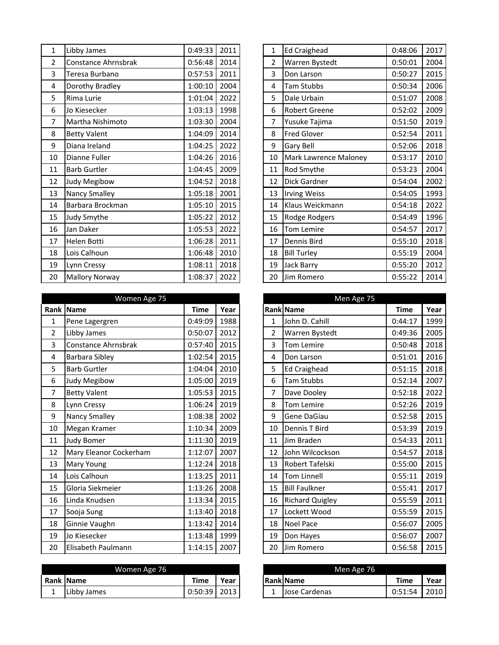| $\mathbf 1$    | Libby James           | 0:49:33 | 2011 | $\mathbf 1$    | <b>Ed Craighead</b>          | 0:48:06 | 2017 |
|----------------|-----------------------|---------|------|----------------|------------------------------|---------|------|
| $\overline{2}$ | Constance Ahrnsbrak   | 0:56:48 | 2014 | $\overline{2}$ | Warren Bystedt               | 0:50:01 | 2004 |
| 3              | Teresa Burbano        | 0:57:53 | 2011 | 3              | Don Larson                   | 0:50:27 | 2015 |
| 4              | Dorothy Bradley       | 1:00:10 | 2004 | 4              | <b>Tam Stubbs</b>            | 0:50:34 | 2006 |
| 5              | Rima Lurie            | 1:01:04 | 2022 | 5              | Dale Urbain                  | 0:51:07 | 2008 |
| 6              | Jo Kiesecker          | 1:03:13 | 1998 | 6              | Robert Greene                | 0:52:02 | 2009 |
| 7              | Martha Nishimoto      | 1:03:30 | 2004 | 7              | Yusuke Tajima                | 0:51:50 | 2019 |
| 8              | <b>Betty Valent</b>   | 1:04:09 | 2014 | 8              | <b>Fred Glover</b>           | 0:52:54 | 2011 |
| 9              | Diana Ireland         | 1:04:25 | 2022 | 9              | Gary Bell                    | 0:52:06 | 2018 |
| 10             | Dianne Fuller         | 1:04:26 | 2016 | 10             | <b>Mark Lawrence Maloney</b> | 0:53:17 | 2010 |
| 11             | <b>Barb Gurtler</b>   | 1:04:45 | 2009 | 11             | Rod Smythe                   | 0:53:23 | 2004 |
| 12             | Judy Megibow          | 1:04:52 | 2018 | 12             | Dick Gardner                 | 0:54:04 | 2002 |
| 13             | <b>Nancy Smalley</b>  | 1:05:18 | 2001 | 13             | <b>Irving Weiss</b>          | 0:54:05 | 1993 |
| 14             | Barbara Brockman      | 1:05:10 | 2015 | 14             | Klaus Weickmann              | 0:54:18 | 2022 |
| 15             | Judy Smythe           | 1:05:22 | 2012 | 15             | Rodge Rodgers                | 0:54:49 | 1996 |
| 16             | Jan Daker             | 1:05:53 | 2022 | 16             | Tom Lemire                   | 0:54:57 | 2017 |
| 17             | Helen Botti           | 1:06:28 | 2011 | 17             | Dennis Bird                  | 0:55:10 | 2018 |
| 18             | Lois Calhoun          | 1:06:48 | 2010 | 18             | <b>Bill Turley</b>           | 0:55:19 | 2004 |
| 19             | Lynn Cressy           | 1:08:11 | 2018 | 19             | Jack Barry                   | 0:55:20 | 2012 |
| 20             | <b>Mallory Norway</b> | 1:08:37 | 2022 | 20             | Jim Romero                   | 0:55:22 | 2014 |

|                | Women Age 75           |             |      |                | Men Age 75             |             |      |
|----------------|------------------------|-------------|------|----------------|------------------------|-------------|------|
| Rank           | <b>Name</b>            | <b>Time</b> | Year |                | Rank Name              | <b>Time</b> | Year |
| $\mathbf{1}$   | Pene Lagergren         | 0:49:09     | 1988 | $\mathbf{1}$   | John D. Cahill         | 0:44:17     | 1999 |
| $\overline{2}$ | Libby James            | 0:50:07     | 2012 | $\overline{2}$ | Warren Bystedt         | 0:49:36     | 2005 |
| 3              | Constance Ahrnsbrak    | 0:57:40     | 2015 | 3              | Tom Lemire             | 0:50:48     | 2018 |
| 4              | <b>Barbara Sibley</b>  | 1:02:54     | 2015 | 4              | Don Larson             | 0:51:01     | 2016 |
| 5              | <b>Barb Gurtler</b>    | 1:04:04     | 2010 | 5              | <b>Ed Craighead</b>    | 0:51:15     | 2018 |
| 6              | Judy Megibow           | 1:05:00     | 2019 | 6              | Tam Stubbs             | 0:52:14     | 2007 |
| 7              | <b>Betty Valent</b>    | 1:05:53     | 2015 | 7              | Dave Dooley            | 0:52:18     | 2022 |
| 8              | Lynn Cressy            | 1:06:24     | 2019 | 8              | <b>Tom Lemire</b>      | 0:52:26     | 2019 |
| 9              | Nancy Smalley          | 1:08:38     | 2002 | 9              | Gene DaGiau            | 0:52:58     | 2015 |
| 10             | Megan Kramer           | 1:10:34     | 2009 | 10             | Dennis T Bird          | 0:53:39     | 2019 |
| 11             | <b>Judy Bomer</b>      | 1:11:30     | 2019 | 11             | Jim Braden             | 0:54:33     | 2011 |
| 12             | Mary Eleanor Cockerham | 1:12:07     | 2007 | 12             | John Wilcockson        | 0:54:57     | 2018 |
| 13             | <b>Mary Young</b>      | 1:12:24     | 2018 | 13             | Robert Tafelski        | 0:55:00     | 2015 |
| 14             | Lois Calhoun           | 1:13:25     | 2011 | 14             | Tom Linnell            | 0:55:11     | 2019 |
| 15             | Gloria Siekmeier       | 1:13:26     | 2008 | 15             | <b>Bill Faulkner</b>   | 0:55:41     | 2017 |
| 16             | Linda Knudsen          | 1:13:34     | 2015 | 16             | <b>Richard Quigley</b> | 0:55:59     | 2011 |
| 17             | Sooja Sung             | 1:13:40     | 2018 | 17             | Lockett Wood           | 0:55:59     | 2015 |
| 18             | Ginnie Vaughn          | 1:13:42     | 2014 | 18             | Noel Pace              | 0:56:07     | 2005 |
| 19             | Jo Kiesecker           | 1:13:48     | 1999 | 19             | Don Hayes              | 0:56:07     | 2007 |
| 20             | Elisabeth Paulmann     | 1:14:15     | 2007 | 20             | Jim Romero             | 0:56:58     | 2015 |

|   | Women Age 76 |             |       |    | Men Age 76        |             |      |
|---|--------------|-------------|-------|----|-------------------|-------------|------|
|   | Rank Name    | <b>Time</b> | Year, |    | <b>IRank Name</b> | <b>Time</b> | Year |
| - | Libby James  | 0:50:39     | 2013  | л. | Jose Cardenas     | 0:51:54     | 2010 |

| $\mathbf 1$    | <b>Ed Craighead</b>   | 0:48:06 | 2017 |
|----------------|-----------------------|---------|------|
| $\overline{2}$ | Warren Bystedt        | 0:50:01 | 2004 |
| 3              | Don Larson            | 0:50:27 | 2015 |
| 4              | <b>Tam Stubbs</b>     | 0:50:34 | 2006 |
| 5              | Dale Urbain           | 0:51:07 | 2008 |
| 6              | <b>Robert Greene</b>  | 0:52:02 | 2009 |
| 7              | Yusuke Tajima         | 0:51:50 | 2019 |
| 8              | <b>Fred Glover</b>    | 0:52:54 | 2011 |
| 9              | <b>Gary Bell</b>      | 0:52:06 | 2018 |
| 10             | Mark Lawrence Maloney | 0:53:17 | 2010 |
| 11             | Rod Smythe            | 0:53:23 | 2004 |
| 12             | Dick Gardner          | 0:54:04 | 2002 |
| 13             | <b>Irving Weiss</b>   | 0:54:05 | 1993 |
| 14             | Klaus Weickmann       | 0:54:18 | 2022 |
| 15             | Rodge Rodgers         | 0:54:49 | 1996 |
| 16             | <b>Tom Lemire</b>     | 0:54:57 | 2017 |
| 17             | Dennis Bird           | 0:55:10 | 2018 |
| 18             | <b>Bill Turley</b>    | 0:55:19 | 2004 |
| 19             | <b>Jack Barry</b>     | 0:55:20 | 2012 |
| 20             | Jim Romero            | 0:55:22 | 2014 |

|                | Men Age 75             |             |      |
|----------------|------------------------|-------------|------|
|                | Rank Name              | <b>Time</b> | Year |
| 1              | John D. Cahill         | 0:44:17     | 1999 |
| $\overline{2}$ | Warren Bystedt         | 0:49:36     | 2005 |
| 3              | <b>Tom Lemire</b>      | 0:50:48     | 2018 |
| 4              | Don Larson             | 0:51:01     | 2016 |
| 5              | <b>Ed Craighead</b>    | 0:51:15     | 2018 |
| 6              | <b>Tam Stubbs</b>      | 0:52:14     | 2007 |
| 7              | Dave Dooley            | 0:52:18     | 2022 |
| 8              | <b>Tom Lemire</b>      | 0:52:26     | 2019 |
| 9              | Gene DaGiau            | 0:52:58     | 2015 |
| 10             | Dennis T Bird          | 0:53:39     | 2019 |
| 11             | Jim Braden             | 0:54:33     | 2011 |
| 12             | John Wilcockson        | 0:54:57     | 2018 |
| 13             | <b>Robert Tafelski</b> | 0:55:00     | 2015 |
| 14             | <b>Tom Linnell</b>     | 0:55:11     | 2019 |
| 15             | <b>Bill Faulkner</b>   | 0:55:41     | 2017 |
| 16             | <b>Richard Quigley</b> | 0:55:59     | 2011 |
| 17             | Lockett Wood           | 0:55:59     | 2015 |
| 18             | <b>Noel Pace</b>       | 0:56:07     | 2005 |
| 19             | Don Hayes              | 0:56:07     | 2007 |
| 20             | Jim Romero             | 0:56:58     | 2015 |

| Men Age 76    |             |      |
|---------------|-------------|------|
| Rank Name     | <b>Time</b> | Year |
| Jose Cardenas | 0:51:54     |      |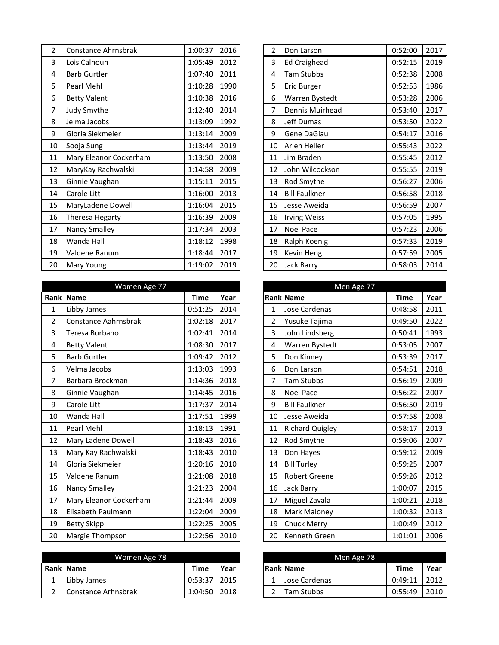| $\overline{2}$ | Constance Ahrnsbrak    | 1:00:37 | 2016 | $\overline{2}$ | Don Larson           | 0:52:00 | 2017 |
|----------------|------------------------|---------|------|----------------|----------------------|---------|------|
| 3              | Lois Calhoun           | 1:05:49 | 2012 | 3              | <b>Ed Craighead</b>  | 0:52:15 | 2019 |
| 4              | <b>Barb Gurtler</b>    | 1:07:40 | 2011 | 4              | <b>Tam Stubbs</b>    | 0:52:38 | 2008 |
| 5              | Pearl Mehl             | 1:10:28 | 1990 | 5              | <b>Eric Burger</b>   | 0:52:53 | 1986 |
| 6              | <b>Betty Valent</b>    | 1:10:38 | 2016 | 6              | Warren Bystedt       | 0:53:28 | 2006 |
| 7              | Judy Smythe            | 1:12:40 | 2014 | 7              | Dennis Muirhead      | 0:53:40 | 2017 |
| 8              | Jelma Jacobs           | 1:13:09 | 1992 | 8              | Jeff Dumas           | 0:53:50 | 2022 |
| 9              | Gloria Siekmeier       | 1:13:14 | 2009 | 9              | Gene DaGiau          | 0:54:17 | 2016 |
| 10             | Sooja Sung             | 1:13:44 | 2019 | 10             | Arlen Heller         | 0:55:43 | 2022 |
| 11             | Mary Eleanor Cockerham | 1:13:50 | 2008 | 11             | Jim Braden           | 0:55:45 | 2012 |
| 12             | MaryKay Rachwalski     | 1:14:58 | 2009 | 12             | John Wilcockson      | 0:55:55 | 2019 |
| 13             | Ginnie Vaughan         | 1:15:11 | 2015 | 13             | <b>Rod Smythe</b>    | 0:56:27 | 2006 |
| 14             | Carole Litt            | 1:16:00 | 2013 | 14             | <b>Bill Faulkner</b> | 0:56:58 | 2018 |
| 15             | MaryLadene Dowell      | 1:16:04 | 2015 | 15             | Jesse Aweida         | 0:56:59 | 2007 |
| 16             | Theresa Hegarty        | 1:16:39 | 2009 | 16             | <b>Irving Weiss</b>  | 0:57:05 | 1995 |
| 17             | Nancy Smalley          | 1:17:34 | 2003 | 17             | Noel Pace            | 0:57:23 | 2006 |
| 18             | Wanda Hall             | 1:18:12 | 1998 | 18             | Ralph Koenig         | 0:57:33 | 2019 |
| 19             | Valdene Ranum          | 1:18:44 | 2017 | 19             | Kevin Heng           | 0:57:59 | 2005 |
| 20             | <b>Mary Young</b>      | 1:19:02 | 2019 | 20             | Jack Barry           | 0:58:03 | 2014 |

|                | Women Age 77           |             |      |                | Men Age 77             |             |      |
|----------------|------------------------|-------------|------|----------------|------------------------|-------------|------|
|                | Rank Name              | <b>Time</b> | Year |                | Rank Name              | <b>Time</b> | Year |
| $\mathbf{1}$   | Libby James            | 0:51:25     | 2014 | $\mathbf{1}$   | Jose Cardenas          | 0:48:58     | 2011 |
| $\overline{2}$ | Constance Aahrnsbrak   | 1:02:18     | 2017 | $\overline{2}$ | Yusuke Tajima          | 0:49:50     | 2022 |
| 3              | Teresa Burbano         | 1:02:41     | 2014 | 3              | John Lindsberg         | 0:50:41     | 1993 |
| 4              | <b>Betty Valent</b>    | 1:08:30     | 2017 | 4              | Warren Bystedt         | 0:53:05     | 2007 |
| 5              | <b>Barb Gurtler</b>    | 1:09:42     | 2012 | 5              | Don Kinney             | 0:53:39     | 2017 |
| 6              | Velma Jacobs           | 1:13:03     | 1993 | 6              | Don Larson             | 0:54:51     | 2018 |
| $\overline{7}$ | Barbara Brockman       | 1:14:36     | 2018 | 7              | <b>Tam Stubbs</b>      | 0:56:19     | 2009 |
| 8              | Ginnie Vaughan         | 1:14:45     | 2016 | 8              | Noel Pace              | 0:56:22     | 2007 |
| 9              | Carole Litt            | 1:17:37     | 2014 | 9              | <b>Bill Faulkner</b>   | 0:56:50     | 2019 |
| 10             | Wanda Hall             | 1:17:51     | 1999 | 10             | Jesse Aweida           | 0:57:58     | 2008 |
| 11             | Pearl Mehl             | 1:18:13     | 1991 | 11             | <b>Richard Quigley</b> | 0:58:17     | 2013 |
| 12             | Mary Ladene Dowell     | 1:18:43     | 2016 | 12             | <b>Rod Smythe</b>      | 0:59:06     | 2007 |
| 13             | Mary Kay Rachwalski    | 1:18:43     | 2010 | 13             | Don Hayes              | 0:59:12     | 2009 |
| 14             | Gloria Siekmeier       | 1:20:16     | 2010 | 14             | <b>Bill Turley</b>     | 0:59:25     | 2007 |
| 15             | Valdene Ranum          | 1:21:08     | 2018 | 15             | <b>Robert Greene</b>   | 0:59:26     | 2012 |
| 16             | Nancy Smalley          | 1:21:23     | 2004 | 16             | Jack Barry             | 1:00:07     | 2015 |
| 17             | Mary Eleanor Cockerham | 1:21:44     | 2009 | 17             | Miguel Zavala          | 1:00:21     | 2018 |
| 18             | Elisabeth Paulmann     | 1:22:04     | 2009 | 18             | <b>Mark Maloney</b>    | 1:00:32     | 2013 |
| 19             | <b>Betty Skipp</b>     | 1:22:25     | 2005 | 19             | <b>Chuck Merry</b>     | 1:00:49     | 2012 |
| 20             | Margie Thompson        | 1:22:56     | 2010 | 20             | Kenneth Green          | 1:01:01     | 2006 |

|   | Women Age 78        |         |      |  | Men Age 78           |         |      |
|---|---------------------|---------|------|--|----------------------|---------|------|
|   | <b>Rank Name</b>    | Time    | Year |  | <b>Rank Name</b>     | Time    | Year |
| ∸ | Libby James         | 0:53:37 | 2015 |  | <b>Jose Cardenas</b> | 0:49:11 | 2012 |
|   | Constance Arhnsbrak | 1:04:50 | 2018 |  | <b>Tam Stubbs</b>    | 0:55:49 | 2010 |

| $\overline{2}$ | Don Larson           | 0:52:00 | 2017 |
|----------------|----------------------|---------|------|
| 3              | <b>Ed Craighead</b>  | 0:52:15 | 2019 |
| 4              | <b>Tam Stubbs</b>    | 0:52:38 | 2008 |
| 5              | Eric Burger          | 0:52:53 | 1986 |
| 6              | Warren Bystedt       | 0:53:28 | 2006 |
| 7              | Dennis Muirhead      | 0:53:40 | 2017 |
| 8              | Jeff Dumas           | 0:53:50 | 2022 |
| 9              | Gene DaGiau          | 0:54:17 | 2016 |
| 10             | Arlen Heller         | 0:55:43 | 2022 |
| 11             | Jim Braden           | 0:55:45 | 2012 |
| 12             | John Wilcockson      | 0:55:55 | 2019 |
| 13             | Rod Smythe           | 0:56:27 | 2006 |
| 14             | <b>Bill Faulkner</b> | 0:56:58 | 2018 |
| 15             | Jesse Aweida         | 0:56:59 | 2007 |
| 16             | <b>Irving Weiss</b>  | 0:57:05 | 1995 |
| 17             | Noel Pace            | 0:57:23 | 2006 |
| 18             | Ralph Koenig         | 0:57:33 | 2019 |
| 19             | Kevin Heng           | 0:57:59 | 2005 |
| 20             | Jack Barry           | 0:58:03 | 2014 |

|                | Men Age 77             |             |      |
|----------------|------------------------|-------------|------|
|                | <b>Rank Name</b>       | <b>Time</b> | Year |
| 1              | <b>Jose Cardenas</b>   | 0:48:58     | 2011 |
| $\overline{2}$ | Yusuke Tajima          | 0:49:50     | 2022 |
| 3              | John Lindsberg         | 0:50:41     | 1993 |
| 4              | Warren Bystedt         | 0:53:05     | 2007 |
| 5              | Don Kinney             | 0:53:39     | 2017 |
| 6              | Don Larson             | 0:54:51     | 2018 |
| 7              | <b>Tam Stubbs</b>      | 0:56:19     | 2009 |
| 8              | <b>Noel Pace</b>       | 0:56:22     | 2007 |
| 9              | <b>Bill Faulkner</b>   | 0:56:50     | 2019 |
| 10             | Jesse Aweida           | 0:57:58     | 2008 |
| 11             | <b>Richard Quigley</b> | 0:58:17     | 2013 |
| 12             | Rod Smythe             | 0:59:06     | 2007 |
| 13             | Don Hayes              | 0:59:12     | 2009 |
| 14             | <b>Bill Turley</b>     | 0:59:25     | 2007 |
| 15             | <b>Robert Greene</b>   | 0:59:26     | 2012 |
| 16             | Jack Barry             | 1:00:07     | 2015 |
| 17             | Miguel Zavala          | 1:00:21     | 2018 |
| 18             | Mark Maloney           | 1:00:32     | 2013 |
| 19             | <b>Chuck Merry</b>     | 1:00:49     | 2012 |
| 20             | <b>Kenneth Green</b>   | 1:01:01     | 2006 |

| Men Age 78        |             |      |
|-------------------|-------------|------|
| <b>Rank Name</b>  | <b>Time</b> | Year |
| Jose Cardenas     | 0:49:11     | 2012 |
| <b>Tam Stubbs</b> | 0:55:49     |      |